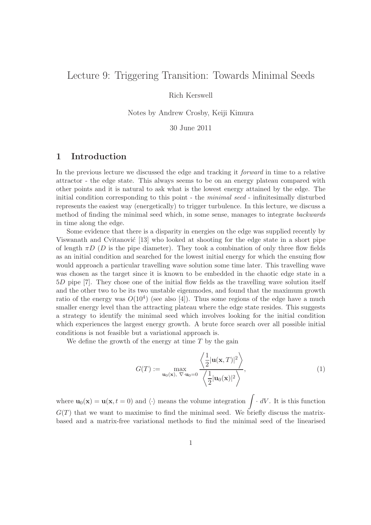# Lecture 9: Triggering Transition: Towards Minimal Seeds

Rich Kerswell

Notes by Andrew Crosby, Keiji Kimura

30 June 2011

### 1 Introduction

In the previous lecture we discussed the edge and tracking it forward in time to a relative attractor - the edge state. This always seems to be on an energy plateau compared with other points and it is natural to ask what is the lowest energy attained by the edge. The initial condition corresponding to this point - the *minimal seed* - infinitesimally disturbed represents the easiest way (energetically) to trigger turbulence. In this lecture, we discuss a method of finding the minimal seed which, in some sense, manages to integrate backwards in time along the edge.

Some evidence that there is a disparity in energies on the edge was supplied recently by Viswanath and Cvitanović [13] who looked at shooting for the edge state in a short pipe of length  $\pi D$  (D is the pipe diameter). They took a combination of only three flow fields as an initial condition and searched for the lowest initial energy for which the ensuing flow would approach a particular travelling wave solution some time later. This travelling wave was chosen as the target since it is known to be embedded in the chaotic edge state in a 5D pipe [7]. They chose one of the initial flow fields as the travelling wave solution itself and the other two to be its two unstable eigenmodes, and found that the maximum growth ratio of the energy was  $O(10^4)$  (see also [4]). Thus some regions of the edge have a much smaller energy level than the attracting plateau where the edge state resides. This suggests a strategy to identify the minimal seed which involves looking for the initial condition which experiences the largest energy growth. A brute force search over all possible initial conditions is not feasible but a variational approach is.

We define the growth of the energy at time  $T$  by the gain

$$
G(T) := \max_{\mathbf{u}_0(\mathbf{x}), \ \nabla \cdot \mathbf{u}_0 = 0} \frac{\left\langle \frac{1}{2} |\mathbf{u}(\mathbf{x}, T)|^2 \right\rangle}{\left\langle \frac{1}{2} |\mathbf{u}_0(\mathbf{x})|^2 \right\rangle},\tag{1}
$$

where  $\mathbf{u}_0(\mathbf{x}) = \mathbf{u}(\mathbf{x}, t = 0)$  and  $\langle \cdot \rangle$  means the volume integration  $\int \cdot dV$ . It is this function  $G(T)$  that we want to maximise to find the minimal seed. We briefly discuss the matrixbased and a matrix-free variational methods to find the minimal seed of the linearised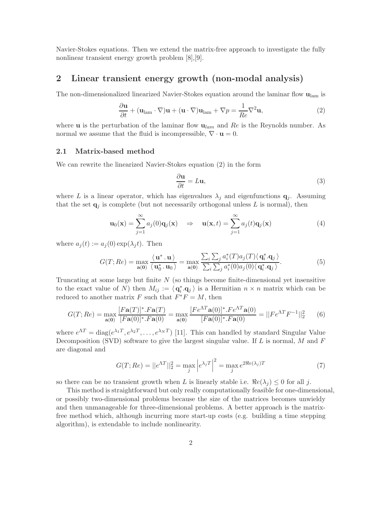Navier-Stokes equations. Then we extend the matrix-free approach to investigate the fully nonlinear transient energy growth problem [8],[9].

### 2 Linear transient energy growth (non-modal analysis)

The non-dimensionalized linearized Navier-Stokes equation around the laminar flow  $\mathbf{u}_{\text{lam}}$  is

$$
\frac{\partial \mathbf{u}}{\partial t} + (\mathbf{u}_{\text{lam}} \cdot \nabla) \mathbf{u} + (\mathbf{u} \cdot \nabla) \mathbf{u}_{\text{lam}} + \nabla p = \frac{1}{Re} \nabla^2 \mathbf{u},\tag{2}
$$

where **u** is the perturbation of the laminar flow  $\mathbf{u}_{lam}$  and Re is the Reynolds number. As normal we assume that the fluid is incompressible,  $\nabla \cdot \mathbf{u} = 0$ .

#### 2.1 Matrix-based method

We can rewrite the linearized Navier-Stokes equation (2) in the form

$$
\frac{\partial \mathbf{u}}{\partial t} = L\mathbf{u},\tag{3}
$$

where L is a linear operator, which has eigenvalues  $\lambda_i$  and eigenfunctions  $\mathbf{q}_i$ . Assuming that the set  $q_i$  is complete (but not necessarily orthogonal unless L is normal), then

$$
\mathbf{u}_0(\mathbf{x}) = \sum_{j=1}^{\infty} a_j(0) \mathbf{q}_j(\mathbf{x}) \quad \Rightarrow \quad \mathbf{u}(\mathbf{x}, t) = \sum_{j=1}^{\infty} a_j(t) \mathbf{q}_j(\mathbf{x}) \tag{4}
$$

where  $a_i(t) := a_i(0) \exp(\lambda_i t)$ . Then

$$
G(T; Re) = \max_{\mathbf{a}(\mathbf{0})} \frac{\langle \mathbf{u}^*, \mathbf{u} \rangle}{\langle \mathbf{u}_0^*, \mathbf{u}_0 \rangle} = \max_{\mathbf{a}(\mathbf{0})} \frac{\sum_i \sum_j a_i^*(T) a_j(T) \langle \mathbf{q}_i^*, \mathbf{q}_j \rangle}{\sum_i \sum_j a_i^*(0) a_j(0) \langle \mathbf{q}_i^*, \mathbf{q}_j \rangle}.
$$
(5)

Truncating at some large but finite  $N$  (so things become finite-dimensional yet insensitive to the exact value of N) then  $M_{ij} := \langle \mathbf{q}_i^* \rangle$  $i_{i}$ ,  $\mathbf{q}_{j}$  is a Hermitian  $n \times n$  matrix which can be reduced to another matrix F such that  $\overline{F}^*F = M$ , then

$$
G(T; Re) = \max_{\mathbf{a}(\mathbf{0})} \frac{[F\mathbf{a}(T)]^* \cdot F\mathbf{a}(T)}{[F\mathbf{a}(0)]^* \cdot F\mathbf{a}(0)} = \max_{\mathbf{a}(\mathbf{0})} \frac{[F e^{\Lambda T} \mathbf{a}(0)]^* \cdot F e^{\Lambda T} \mathbf{a}(0)}{[F\mathbf{a}(0)]^* \cdot F\mathbf{a}(0)} = ||F e^{\Lambda T} F^{-1}||_2^2 \tag{6}
$$

where  $e^{\Lambda T} = \text{diag}(e^{\lambda_1 T}, e^{\lambda_2 T}, \dots, e^{\lambda_N T})$  [11]. This can handled by standard Singular Value Decomposition (SVD) software to give the largest singular value. If  $L$  is normal,  $M$  and  $F$ are diagonal and

$$
G(T; Re) = ||e^{\Lambda T}||_2^2 = \max_j |e^{\lambda_j T}|^2 = \max_j e^{2\Re e(\lambda_j)T}
$$
 (7)

so there can be no transient growth when L is linearly stable i.e.  $\Re e(\lambda_i) \leq 0$  for all j.

This method is straightforward but only really computationally feasible for one-dimensional, or possibly two-dimensional problems because the size of the matrices becomes unwieldy and then unmanageable for three-dimensional problems. A better approach is the matrixfree method which, although incurring more start-up costs (e.g. building a time stepping algorithm), is extendable to include nonlinearity.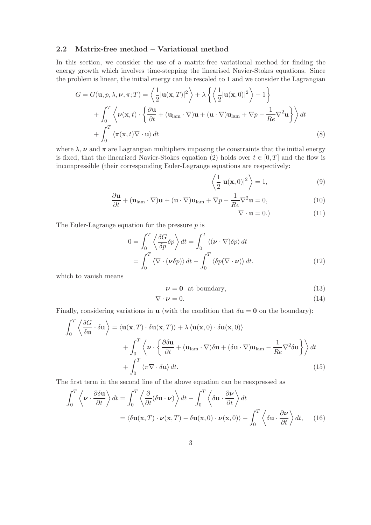#### 2.2 Matrix-free method – Variational method

In this section, we consider the use of a matrix-free variational method for finding the energy growth which involves time-stepping the linearised Navier-Stokes equations. Since the problem is linear, the initial energy can be rescaled to 1 and we consider the Lagrangian

$$
G = G(\mathbf{u}, p, \lambda, \nu, \pi; T) = \left\langle \frac{1}{2} |\mathbf{u}(\mathbf{x}, T)|^2 \right\rangle + \lambda \left\{ \left\langle \frac{1}{2} |\mathbf{u}(\mathbf{x}, 0)|^2 \right\rangle - 1 \right\} + \int_0^T \left\langle \nu(\mathbf{x}, t) \cdot \left\{ \frac{\partial \mathbf{u}}{\partial t} + (\mathbf{u}_{\text{lam}} \cdot \nabla) \mathbf{u} + (\mathbf{u} \cdot \nabla) \mathbf{u}_{\text{lam}} + \nabla p - \frac{1}{Re} \nabla^2 \mathbf{u} \right\} \right\rangle dt + \int_0^T \left\langle \pi(\mathbf{x}, t) \nabla \cdot \mathbf{u} \right\rangle dt
$$
 (8)

where  $\lambda$ ,  $\nu$  and  $\pi$  are Lagrangian multipliers imposing the constraints that the initial energy is fixed, that the linearized Navier-Stokes equation (2) holds over  $t \in [0, T]$  and the flow is incompressible (their corresponding Euler-Lagrange equations are respectively:

$$
\left\langle \frac{1}{2} |\mathbf{u}(\mathbf{x},0)|^2 \right\rangle = 1, \tag{9}
$$

$$
\frac{\partial \mathbf{u}}{\partial t} + (\mathbf{u}_{\text{lam}} \cdot \nabla) \mathbf{u} + (\mathbf{u} \cdot \nabla) \mathbf{u}_{\text{lam}} + \nabla p - \frac{1}{Re} \nabla^2 \mathbf{u} = 0, \qquad (10)
$$

$$
\nabla \cdot \mathbf{u} = 0.)\tag{11}
$$

The Euler-Lagrange equation for the pressure  $p$  is

$$
0 = \int_0^T \left\langle \frac{\delta G}{\delta p} \delta p \right\rangle dt = \int_0^T \left\langle (\boldsymbol{\nu} \cdot \nabla) \delta p \right\rangle dt
$$
  
= 
$$
\int_0^T \left\langle \nabla \cdot (\boldsymbol{\nu} \delta p) \right\rangle dt - \int_0^T \left\langle \delta p (\nabla \cdot \boldsymbol{\nu}) \right\rangle dt.
$$
 (12)

which to vanish means

$$
\nu = 0 \text{ at boundary},\tag{13}
$$

$$
\nabla \cdot \boldsymbol{\nu} = 0. \tag{14}
$$

Finally, considering variations in **u** (with the condition that  $\delta \mathbf{u} = \mathbf{0}$  on the boundary):

$$
\int_0^T \left\langle \frac{\delta G}{\delta \mathbf{u}} \cdot \delta \mathbf{u} \right\rangle = \langle \mathbf{u}(\mathbf{x}, T) \cdot \delta \mathbf{u}(\mathbf{x}, T) \rangle + \lambda \langle \mathbf{u}(\mathbf{x}, 0) \cdot \delta \mathbf{u}(\mathbf{x}, 0) \rangle + \int_0^T \left\langle \boldsymbol{\nu} \cdot \left\{ \frac{\partial \delta \mathbf{u}}{\partial t} + (\mathbf{u}_{\text{lam}} \cdot \nabla) \delta \mathbf{u} + (\delta \mathbf{u} \cdot \nabla) \mathbf{u}_{\text{lam}} - \frac{1}{Re} \nabla^2 \delta \mathbf{u} \right\} \right\rangle dt + \int_0^T \left\langle \pi \nabla \cdot \delta \mathbf{u} \right\rangle dt.
$$
 (15)

The first term in the second line of the above equation can be reexpressed as

$$
\int_0^T \left\langle \boldsymbol{\nu} \cdot \frac{\partial \delta \mathbf{u}}{\partial t} \right\rangle dt = \int_0^T \left\langle \frac{\partial}{\partial t} (\delta \mathbf{u} \cdot \boldsymbol{\nu}) \right\rangle dt - \int_0^T \left\langle \delta \mathbf{u} \cdot \frac{\partial \boldsymbol{\nu}}{\partial t} \right\rangle dt
$$

$$
= \left\langle \delta \mathbf{u}(\mathbf{x}, T) \cdot \boldsymbol{\nu}(\mathbf{x}, T) - \delta \mathbf{u}(\mathbf{x}, 0) \cdot \boldsymbol{\nu}(\mathbf{x}, 0) \right\rangle - \int_0^T \left\langle \delta \mathbf{u} \cdot \frac{\partial \boldsymbol{\nu}}{\partial t} \right\rangle dt, \quad (16)
$$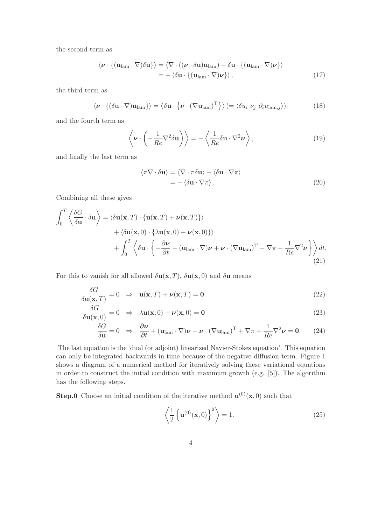the second term as

$$
\langle \boldsymbol{\nu} \cdot \{ (\mathbf{u}_{\text{lam}} \cdot \nabla) \delta \mathbf{u} \} \rangle = \langle \nabla \cdot ((\boldsymbol{\nu} \cdot \delta \mathbf{u}) \mathbf{u}_{\text{lam}}) - \delta \mathbf{u} \cdot \{ (\mathbf{u}_{\text{lam}} \cdot \nabla) \boldsymbol{\nu} \} \rangle
$$
  
= - \langle \delta \mathbf{u} \cdot \{ (\mathbf{u}\_{\text{lam}} \cdot \nabla) \boldsymbol{\nu} \} \rangle, (17)

the third term as

$$
\langle \boldsymbol{\nu} \cdot \{ (\delta \mathbf{u} \cdot \nabla) \mathbf{u}_{\text{lam}} \} \rangle = \langle \delta \mathbf{u} \cdot \{ \boldsymbol{\nu} \cdot (\nabla \mathbf{u}_{\text{lam}})^{\text{T}} \} \rangle (= \langle \delta u_i \ \nu_j \ \partial_i u_{\text{lam},j} \rangle). \tag{18}
$$

and the fourth term as

$$
\left\langle \boldsymbol{\nu} \cdot \left( -\frac{1}{Re} \nabla^2 \delta \mathbf{u} \right) \right\rangle = -\left\langle \frac{1}{Re} \delta \mathbf{u} \cdot \nabla^2 \boldsymbol{\nu} \right\rangle, \tag{19}
$$

and finally the last term as

$$
\langle \pi \nabla \cdot \delta \mathbf{u} \rangle = \langle \nabla \cdot \pi \delta \mathbf{u} \rangle - \langle \delta \mathbf{u} \cdot \nabla \pi \rangle
$$
  
= -\langle \delta \mathbf{u} \cdot \nabla \pi \rangle. (20)

Combining all these gives

$$
\int_0^T \left\langle \frac{\delta G}{\delta \mathbf{u}} \cdot \delta \mathbf{u} \right\rangle = \langle \delta \mathbf{u}(\mathbf{x}, T) \cdot \{ \mathbf{u}(\mathbf{x}, T) + \nu(\mathbf{x}, T) \} \rangle \n+ \langle \delta \mathbf{u}(\mathbf{x}, 0) \cdot \{ \lambda \mathbf{u}(\mathbf{x}, 0) - \nu(\mathbf{x}, 0) \} \rangle \n+ \int_0^T \left\langle \delta \mathbf{u} \cdot \left\{ -\frac{\partial \nu}{\partial t} - (\mathbf{u}_{\text{lam}} \cdot \nabla) \nu + \nu \cdot (\nabla \mathbf{u}_{\text{lam}})^T - \nabla \pi - \frac{1}{Re} \nabla^2 \nu \right\} \right\rangle dt.
$$
\n(21)

For this to vanish for all allowed  $\delta {\bf u}({\bf x},T)$ ,  $\delta {\bf u}({\bf x},0)$  and  $\delta {\bf u}$  means

$$
\frac{\delta G}{\delta \mathbf{u}(\mathbf{x},T)} = 0 \Rightarrow \mathbf{u}(\mathbf{x},T) + \nu(\mathbf{x},T) = \mathbf{0}
$$
\n(22)

$$
\frac{\delta G}{\delta \mathbf{u}(\mathbf{x},0)} = 0 \Rightarrow \lambda \mathbf{u}(\mathbf{x},0) - \nu(\mathbf{x},0) = \mathbf{0}
$$
\n(23)

$$
\frac{\delta G}{\delta \mathbf{u}} = 0 \Rightarrow \frac{\partial \mathbf{v}}{\partial t} + (\mathbf{u}_{\text{lam}} \cdot \nabla) \mathbf{v} - \mathbf{v} \cdot (\nabla \mathbf{u}_{\text{lam}})^{\text{T}} + \nabla \pi + \frac{1}{Re} \nabla^2 \mathbf{v} = \mathbf{0}.
$$
 (24)

The last equation is the 'dual (or adjoint) linearized Navier-Stokes equation'. This equation can only be integrated backwards in time because of the negative diffusion term. Figure 1 shows a diagram of a numerical method for iteratively solving these variational equations in order to construct the initial condition with maximum growth (e.g. [5]). The algorithm has the following steps.

**Step.0** Choose an initial condition of the iterative method  $\mathbf{u}^{(0)}(\mathbf{x},0)$  such that

$$
\left\langle \frac{1}{2} \left\{ \mathbf{u}^{(0)}(\mathbf{x},0) \right\}^2 \right\rangle = 1. \tag{25}
$$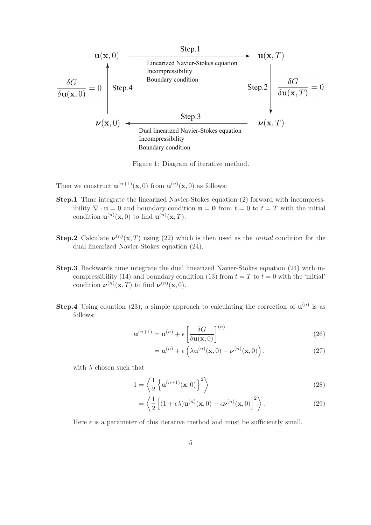

Figure 1: Diagram of iterative method.

- Then we construct  $\mathbf{u}^{(n+1)}(\mathbf{x},0)$  from  $\mathbf{u}^{(n)}(\mathbf{x},0)$  as follows:
- Step.1 Time integrate the linearized Navier-Stokes equation (2) forward with incompressibility  $\nabla \cdot \mathbf{u} = 0$  and boundary condition  $\mathbf{u} = \mathbf{0}$  from  $t = 0$  to  $t = T$  with the initial condition  $\mathbf{u}^{(n)}(\mathbf{x},0)$  to find  $\mathbf{u}^{(n)}(\mathbf{x},T)$ .
- **Step.2** Calculate  $\nu^{(n)}(x,T)$  using (22) which is then used as the *initial* condition for the dual linearized Navier-Stokes equation (24).
- Step.3 Backwards time integrate the dual linearized Navier-Stokes equation (24) with incompressibility (14) and boundary condition (13) from  $t = T$  to  $t = 0$  with the 'initial' condition  $\nu^{(n)}(\mathbf{x},T)$  to find  $\nu^{(n)}(\mathbf{x},0)$ .
- **Step.4** Using equation (23), a simple approach to calculating the correction of  $\mathbf{u}^{(n)}$  is as follows:

$$
\mathbf{u}^{(n+1)} = \mathbf{u}^{(n)} + \epsilon \left[ \frac{\delta G}{\delta \mathbf{u}(\mathbf{x}, 0)} \right]^{(n)} \tag{26}
$$

$$
= \mathbf{u}^{(n)} + \epsilon \left( \lambda \mathbf{u}^{(n)}(\mathbf{x}, 0) - \boldsymbol{\nu}^{(n)}(\mathbf{x}, 0) \right), \qquad (27)
$$

with  $\lambda$  chosen such that

$$
1 = \left\langle \frac{1}{2} \left\{ \mathbf{u}^{(n+1)}(\mathbf{x}, 0) \right\}^2 \right\rangle \tag{28}
$$

$$
= \left\langle \frac{1}{2} \left[ (1 + \epsilon \lambda) \mathbf{u}^{(n)}(\mathbf{x}, 0) - \epsilon \boldsymbol{\nu}^{(n)}(\mathbf{x}, 0) \right]^2 \right\rangle.
$$
 (29)

Here  $\epsilon$  is a parameter of this iterative method and must be sufficiently small.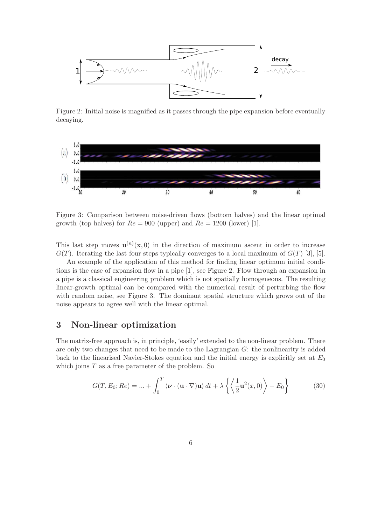

Figure 2: Initial noise is magnified as it passes through the pipe expansion before eventually decaying.



Figure 3: Comparison between noise-driven flows (bottom halves) and the linear optimal growth (top halves) for  $Re = 900$  (upper) and  $Re = 1200$  (lower) [1].

This last step moves  $\mathbf{u}^{(n)}(\mathbf{x},0)$  in the direction of maximum ascent in order to increase  $G(T)$ . Iterating the last four steps typically converges to a local maximum of  $G(T)$  [3], [5].

An example of the application of this method for finding linear optimum initial conditions is the case of expansion flow in a pipe [1], see Figure 2. Flow through an expansion in a pipe is a classical engineering problem which is not spatially homogeneous. The resulting linear-growth optimal can be compared with the numerical result of perturbing the flow with random noise, see Figure 3. The dominant spatial structure which grows out of the noise appears to agree well with the linear optimal.

### 3 Non-linear optimization

The matrix-free approach is, in principle, 'easily' extended to the non-linear problem. There are only two changes that need to be made to the Lagrangian G: the nonlinearity is added back to the linearised Navier-Stokes equation and the initial energy is explicitly set at  $E_0$ which joins  $T$  as a free parameter of the problem. So

$$
G(T, E_0; Re) = ... + \int_0^T \langle \boldsymbol{\nu} \cdot (\mathbf{u} \cdot \nabla) \mathbf{u} \rangle dt + \lambda \left\{ \left\langle \frac{1}{2} \mathbf{u}^2(x, 0) \right\rangle - E_0 \right\}
$$
(30)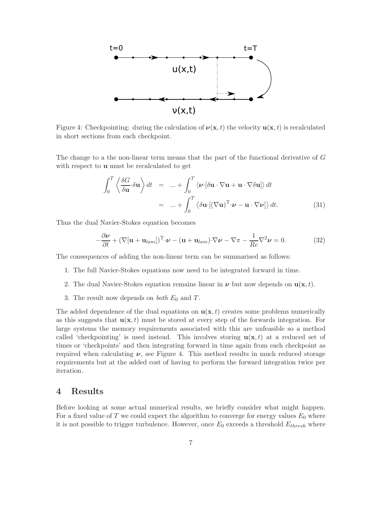

Figure 4: Checkpointing: during the calculation of  $\nu(\mathbf{x}, t)$  the velocity  $\mathbf{u}(\mathbf{x}, t)$  is recalculated in short sections from each checkpoint.

The change to a the non-linear term means that the part of the functional derivative of G with respect to u must be recalculated to get

$$
\int_0^T \left\langle \frac{\delta G}{\delta \mathbf{u}} \cdot \delta \mathbf{u} \right\rangle dt = ... + \int_0^T \left\langle \boldsymbol{\nu} \cdot [\delta \mathbf{u} \cdot \nabla \mathbf{u} + \mathbf{u} \cdot \nabla \delta \mathbf{u}] \right\rangle dt
$$
  
= ... +  $\int_0^T \left\langle \delta \mathbf{u} \cdot [(\nabla \mathbf{u})^T \cdot \boldsymbol{\nu} - \mathbf{u} \cdot \nabla \boldsymbol{\nu}] \right\rangle dt.$  (31)

Thus the dual Navier-Stokes equation becomes

$$
-\frac{\partial \nu}{\partial t} + (\nabla[\mathbf{u} + \mathbf{u}_{lam}])^{\mathrm{T}} \cdot \nu - (\mathbf{u} + \mathbf{u}_{lam}) \cdot \nabla \nu - \nabla \pi - \frac{1}{Re} \nabla^2 \nu = 0.
$$
 (32)

The consequences of adding the non-linear term can be summarised as follows:

- 1. The full Navier-Stokes equations now need to be integrated forward in time.
- 2. The dual Navier-Stokes equation remains linear in  $\nu$  but now depends on  $u(\mathbf{x}, t)$ .
- 3. The result now depends on *both*  $E_0$  and  $T$ .

The added dependence of the dual equations on  $u(x, t)$  creates some problems numerically as this suggests that  $\mathbf{u}(\mathbf{x}, t)$  must be stored at every step of the forwards integration. For large systems the memory requirements associated with this are unfeasible so a method called 'checkpointing' is used instead. This involves storing  $\mathbf{u}(\mathbf{x},t)$  at a reduced set of times or 'checkpoints' and then integrating forward in time again from each checkpoint as required when calculating  $\nu$ , see Figure 4. This method results in much reduced storage requirements but at the added cost of having to perform the forward integration twice per iteration.

### 4 Results

Before looking at some actual numerical results, we briefly consider what might happen. For a fixed value of T we could expect the algorithm to converge for energy values  $E_0$  where it is not possible to trigger turbulence. However, once  $E_0$  exceeds a threshold  $E_{thresh}$  where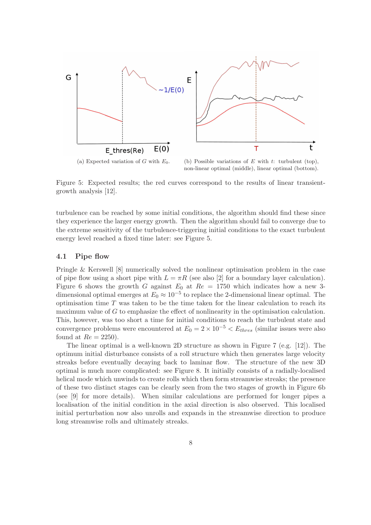

(a) Expected variation of G with  $E_0$ . (b) Possible variations of E with t: turbulent (top), non-linear optimal (middle), linear optimal (bottom).

Figure 5: Expected results; the red curves correspond to the results of linear transientgrowth analysis [12].

turbulence can be reached by some initial conditions, the algorithm should find these since they experience the larger energy growth. Then the algorithm should fail to converge due to the extreme sensitivity of the turbulence-triggering initial conditions to the exact turbulent energy level reached a fixed time later: see Figure 5.

#### 4.1 Pipe flow

Pringle & Kerswell [8] numerically solved the nonlinear optimisation problem in the case of pipe flow using a short pipe with  $L = \pi R$  (see also [2] for a boundary layer calculation). Figure 6 shows the growth G against  $E_0$  at  $Re = 1750$  which indicates how a new 3dimensional optimal emerges at  $E_0 \approx 10^{-5}$  to replace the 2-dimensional linear optimal. The optimisation time  $T$  was taken to be the time taken for the linear calculation to reach its maximum value of G to emphasize the effect of nonlinearity in the optimisation calculation. This, however, was too short a time for initial conditions to reach the turbulent state and convergence problems were encountered at  $E_0 = 2 \times 10^{-5} < E_{thres}$  (similar issues were also found at  $Re = 2250$ ).

The linear optimal is a well-known 2D structure as shown in Figure 7 (e.g. [12]). The optimum initial disturbance consists of a roll structure which then generates large velocity streaks before eventually decaying back to laminar flow. The structure of the new 3D optimal is much more complicated: see Figure 8. It initially consists of a radially-localised helical mode which unwinds to create rolls which then form streamwise streaks; the presence of these two distinct stages can be clearly seen from the two stages of growth in Figure 6b (see [9] for more details). When similar calculations are performed for longer pipes a localisation of the initial condition in the axial direction is also observed. This localised initial perturbation now also unrolls and expands in the streamwise direction to produce long streamwise rolls and ultimately streaks.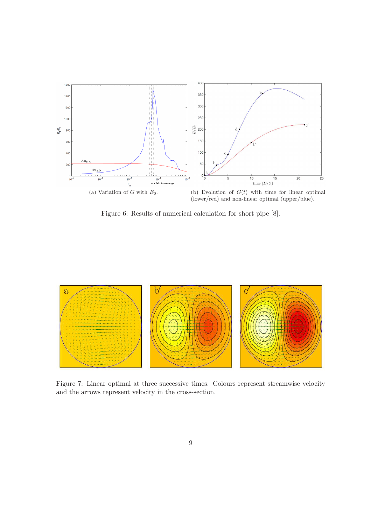

Figure 6: Results of numerical calculation for short pipe [8].



Figure 7: Linear optimal at three successive times. Colours represent streamwise velocity and the arrows represent velocity in the cross-section.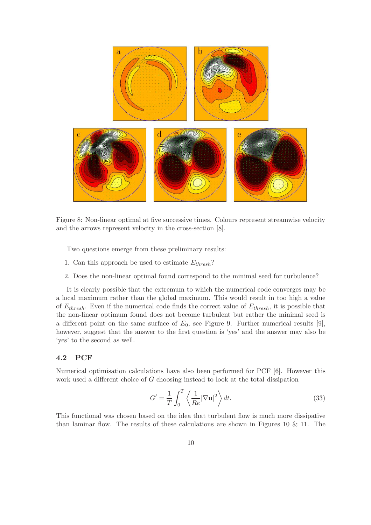

Figure 8: Non-linear optimal at five successive times. Colours represent streamwise velocity and the arrows represent velocity in the cross-section [8].

Two questions emerge from these preliminary results:

- 1. Can this approach be used to estimate  $E_{thresh}$ ?
- 2. Does the non-linear optimal found correspond to the minimal seed for turbulence?

It is clearly possible that the extremum to which the numerical code converges may be a local maximum rather than the global maximum. This would result in too high a value of  $E_{thresh}$ . Even if the numerical code finds the correct value of  $E_{thresh}$ , it is possible that the non-linear optimum found does not become turbulent but rather the minimal seed is a different point on the same surface of  $E_0$ , see Figure 9. Further numerical results [9], however, suggest that the answer to the first question is 'yes' and the answer may also be 'yes' to the second as well.

### 4.2 PCF

Numerical optimisation calculations have also been performed for PCF [6]. However this work used a different choice of G choosing instead to look at the total dissipation

$$
G' = \frac{1}{T} \int_0^T \left\langle \frac{1}{Re} |\nabla \mathbf{u}|^2 \right\rangle dt.
$$
 (33)

This functional was chosen based on the idea that turbulent flow is much more dissipative than laminar flow. The results of these calculations are shown in Figures 10  $\&$  11. The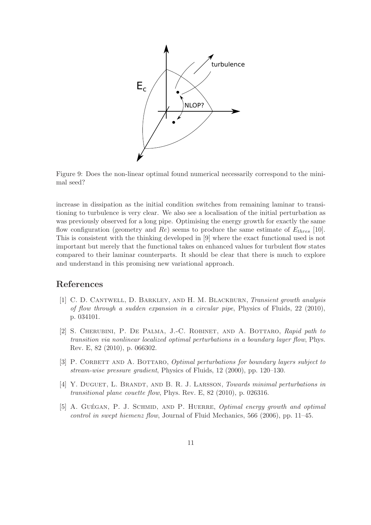

Figure 9: Does the non-linear optimal found numerical necessarily correspond to the minimal seed?

increase in dissipation as the initial condition switches from remaining laminar to transitioning to turbulence is very clear. We also see a localisation of the initial perturbation as was previously observed for a long pipe. Optimising the energy growth for exactly the same flow configuration (geometry and Re) seems to produce the same estimate of  $E_{thres}$  [10]. This is consistent with the thinking developed in [9] where the exact functional used is not important but merely that the functional takes on enhanced values for turbulent flow states compared to their laminar counterparts. It should be clear that there is much to explore and understand in this promising new variational approach.

## References

- [1] C. D. CANTWELL, D. BARKLEY, AND H. M. BLACKBURN, Transient growth analysis of flow through a sudden expansion in a circular pipe, Physics of Fluids, 22 (2010), p. 034101.
- [2] S. Cherubini, P. De Palma, J.-C. Robinet, and A. Bottaro, Rapid path to transition via nonlinear localized optimal perturbations in a boundary layer flow, Phys. Rev. E, 82 (2010), p. 066302.
- [3] P. CORBETT AND A. BOTTARO, *Optimal perturbations for boundary layers subject to* stream-wise pressure gradient, Physics of Fluids, 12 (2000), pp. 120–130.
- [4] Y. DUGUET, L. BRANDT, AND B. R. J. LARSSON, Towards minimal perturbations in transitional plane couette flow, Phys. Rev. E, 82 (2010), p. 026316.
- [5] A. GUÉGAN, P. J. SCHMID, AND P. HUERRE, *Optimal energy growth and optimal* control in swept hiemenz flow, Journal of Fluid Mechanics, 566 (2006), pp. 11–45.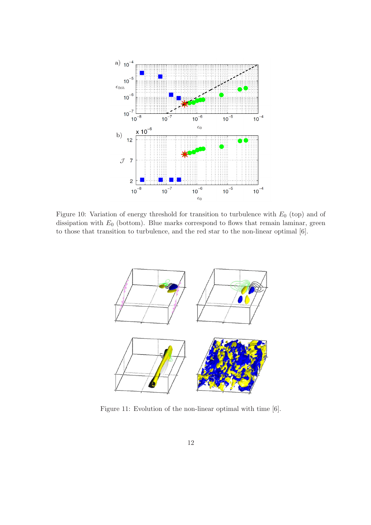

Figure 10: Variation of energy threshold for transition to turbulence with  $E_0$  (top) and of dissipation with  $E_0$  (bottom). Blue marks correspond to flows that remain laminar, green to those that transition to turbulence, and the red star to the non-linear optimal [6].



Figure 11: Evolution of the non-linear optimal with time [6].